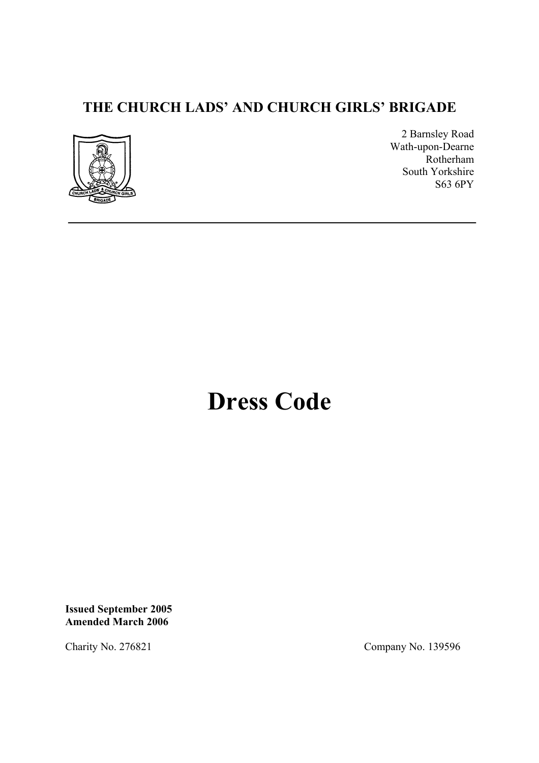## **THE CHURCH LADS' AND CHURCH GIRLS' BRIGADE**



2 Barnsley Road Wath-upon-Dearne Rotherham South Yorkshire S63 6PY

# **Dress Code**

**Issued September 2005 Amended March 2006** 

Charity No. 276821 Company No. 139596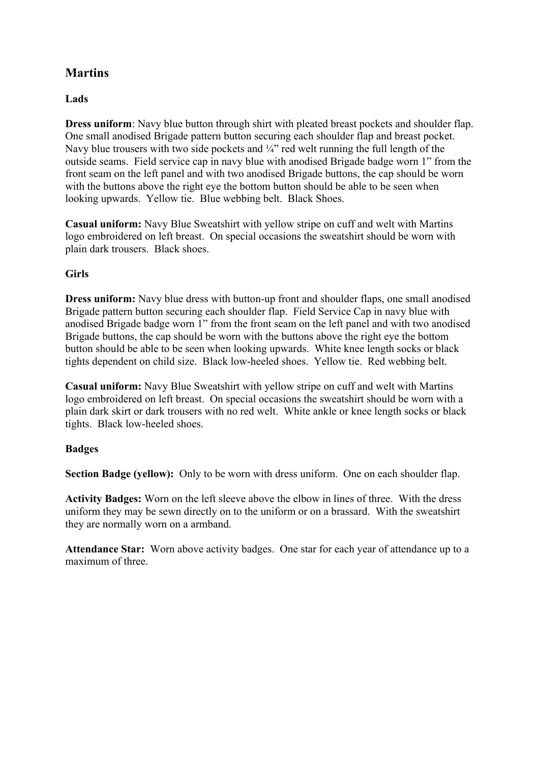## **Martins**

#### **Lads**

**Dress uniform**: Navy blue button through shirt with pleated breast pockets and shoulder flap. One small anodised Brigade pattern button securing each shoulder flap and breast pocket. Navy blue trousers with two side pockets and  $\frac{1}{4}$  red welt running the full length of the outside seams. Field service cap in navy blue with anodised Brigade badge worn 1" from the front seam on the left panel and with two anodised Brigade buttons, the cap should be worn with the buttons above the right eye the bottom button should be able to be seen when looking upwards. Yellow tie. Blue webbing belt. Black Shoes.

**Casual uniform:** Navy Blue Sweatshirt with yellow stripe on cuff and welt with Martins logo embroidered on left breast. On special occasions the sweatshirt should be worn with plain dark trousers. Black shoes.

#### **Girls**

**Dress uniform:** Navy blue dress with button-up front and shoulder flaps, one small anodised Brigade pattern button securing each shoulder flap. Field Service Cap in navy blue with anodised Brigade badge worn 1" from the front seam on the left panel and with two anodised Brigade buttons, the cap should be worn with the buttons above the right eye the bottom button should be able to be seen when looking upwards. White knee length socks or black tights dependent on child size. Black low-heeled shoes. Yellow tie. Red webbing belt.

**Casual uniform:** Navy Blue Sweatshirt with yellow stripe on cuff and welt with Martins logo embroidered on left breast. On special occasions the sweatshirt should be worn with a plain dark skirt or dark trousers with no red welt. White ankle or knee length socks or black tights. Black low-heeled shoes.

#### **Badges**

**Section Badge (yellow):** Only to be worn with dress uniform. One on each shoulder flap.

**Activity Badges:** Worn on the left sleeve above the elbow in lines of three. With the dress uniform they may be sewn directly on to the uniform or on a brassard. With the sweatshirt they are normally worn on a armband.

**Attendance Star:** Worn above activity badges. One star for each year of attendance up to a maximum of three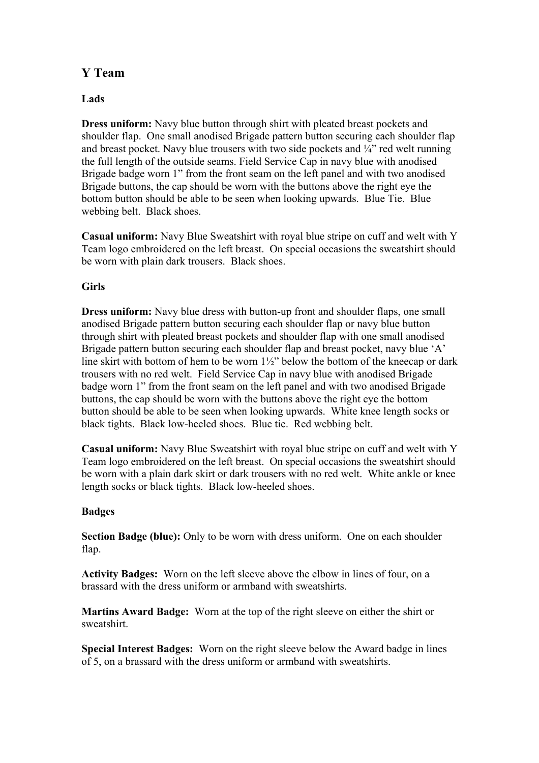## **Y Team**

#### **Lads**

**Dress uniform:** Navy blue button through shirt with pleated breast pockets and shoulder flap. One small anodised Brigade pattern button securing each shoulder flap and breast pocket. Navy blue trousers with two side pockets and  $\frac{1}{4}$  red welt running the full length of the outside seams. Field Service Cap in navy blue with anodised Brigade badge worn 1" from the front seam on the left panel and with two anodised Brigade buttons, the cap should be worn with the buttons above the right eye the bottom button should be able to be seen when looking upwards. Blue Tie. Blue webbing belt. Black shoes.

**Casual uniform:** Navy Blue Sweatshirt with royal blue stripe on cuff and welt with Y Team logo embroidered on the left breast. On special occasions the sweatshirt should be worn with plain dark trousers. Black shoes.

#### **Girls**

**Dress uniform:** Navy blue dress with button-up front and shoulder flaps, one small anodised Brigade pattern button securing each shoulder flap or navy blue button through shirt with pleated breast pockets and shoulder flap with one small anodised Brigade pattern button securing each shoulder flap and breast pocket, navy blue 'A' line skirt with bottom of hem to be worn 1½" below the bottom of the kneecap or dark trousers with no red welt. Field Service Cap in navy blue with anodised Brigade badge worn 1" from the front seam on the left panel and with two anodised Brigade buttons, the cap should be worn with the buttons above the right eye the bottom button should be able to be seen when looking upwards. White knee length socks or black tights. Black low-heeled shoes. Blue tie. Red webbing belt.

**Casual uniform:** Navy Blue Sweatshirt with royal blue stripe on cuff and welt with Y Team logo embroidered on the left breast. On special occasions the sweatshirt should be worn with a plain dark skirt or dark trousers with no red welt. White ankle or knee length socks or black tights. Black low-heeled shoes.

#### **Badges**

**Section Badge (blue):** Only to be worn with dress uniform. One on each shoulder flap.

**Activity Badges:** Worn on the left sleeve above the elbow in lines of four, on a brassard with the dress uniform or armband with sweatshirts.

**Martins Award Badge:** Worn at the top of the right sleeve on either the shirt or sweatshirt.

**Special Interest Badges:** Worn on the right sleeve below the Award badge in lines of 5, on a brassard with the dress uniform or armband with sweatshirts.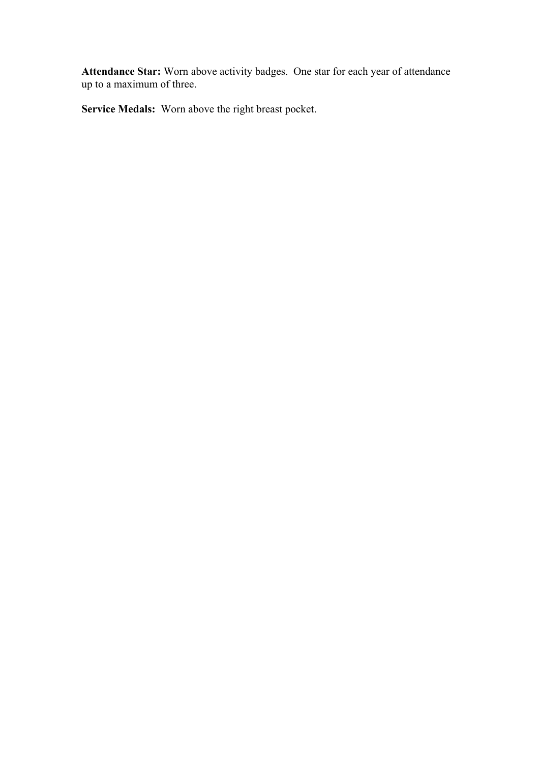**Attendance Star:** Worn above activity badges. One star for each year of attendance up to a maximum of three.

**Service Medals:** Worn above the right breast pocket.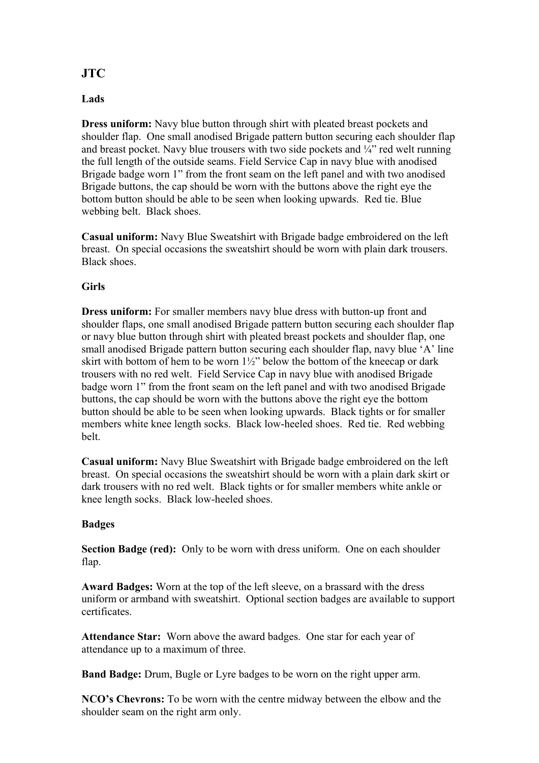## **JTC**

#### **Lads**

**Dress uniform:** Navy blue button through shirt with pleated breast pockets and shoulder flap. One small anodised Brigade pattern button securing each shoulder flap and breast pocket. Navy blue trousers with two side pockets and  $\frac{1}{4}$  red welt running the full length of the outside seams. Field Service Cap in navy blue with anodised Brigade badge worn 1" from the front seam on the left panel and with two anodised Brigade buttons, the cap should be worn with the buttons above the right eye the bottom button should be able to be seen when looking upwards. Red tie. Blue webbing belt. Black shoes.

**Casual uniform:** Navy Blue Sweatshirt with Brigade badge embroidered on the left breast. On special occasions the sweatshirt should be worn with plain dark trousers. Black shoes.

#### **Girls**

**Dress uniform:** For smaller members navy blue dress with button-up front and shoulder flaps, one small anodised Brigade pattern button securing each shoulder flap or navy blue button through shirt with pleated breast pockets and shoulder flap, one small anodised Brigade pattern button securing each shoulder flap, navy blue 'A' line skirt with bottom of hem to be worn  $1\frac{1}{2}$ " below the bottom of the kneecap or dark trousers with no red welt. Field Service Cap in navy blue with anodised Brigade badge worn 1" from the front seam on the left panel and with two anodised Brigade buttons, the cap should be worn with the buttons above the right eye the bottom button should be able to be seen when looking upwards. Black tights or for smaller members white knee length socks. Black low-heeled shoes. Red tie. Red webbing belt.

**Casual uniform:** Navy Blue Sweatshirt with Brigade badge embroidered on the left breast. On special occasions the sweatshirt should be worn with a plain dark skirt or dark trousers with no red welt. Black tights or for smaller members white ankle or knee length socks. Black low-heeled shoes.

#### **Badges**

**Section Badge (red):** Only to be worn with dress uniform. One on each shoulder flap.

**Award Badges:** Worn at the top of the left sleeve, on a brassard with the dress uniform or armband with sweatshirt. Optional section badges are available to support certificates.

**Attendance Star:** Worn above the award badges. One star for each year of attendance up to a maximum of three.

**Band Badge:** Drum, Bugle or Lyre badges to be worn on the right upper arm.

**NCO's Chevrons:** To be worn with the centre midway between the elbow and the shoulder seam on the right arm only.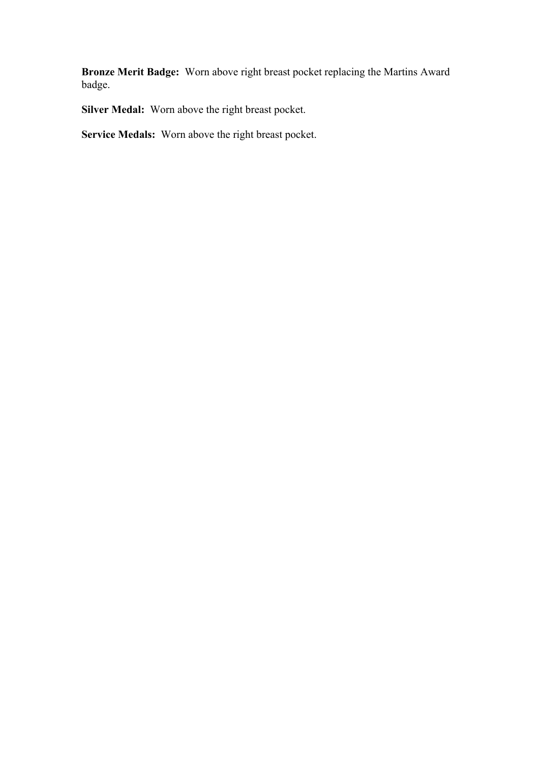**Bronze Merit Badge:** Worn above right breast pocket replacing the Martins Award badge.

**Silver Medal:** Worn above the right breast pocket.

**Service Medals:** Worn above the right breast pocket.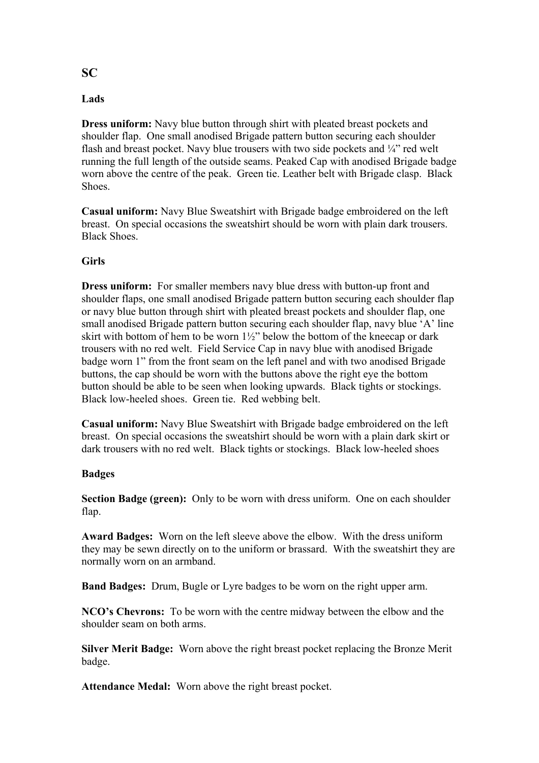### **SC**

#### **Lads**

**Dress uniform:** Navy blue button through shirt with pleated breast pockets and shoulder flap. One small anodised Brigade pattern button securing each shoulder flash and breast pocket. Navy blue trousers with two side pockets and  $\frac{1}{4}$  red welt running the full length of the outside seams. Peaked Cap with anodised Brigade badge worn above the centre of the peak. Green tie. Leather belt with Brigade clasp. Black **Shoes**.

**Casual uniform:** Navy Blue Sweatshirt with Brigade badge embroidered on the left breast. On special occasions the sweatshirt should be worn with plain dark trousers. Black Shoes.

#### **Girls**

**Dress uniform:** For smaller members navy blue dress with button-up front and shoulder flaps, one small anodised Brigade pattern button securing each shoulder flap or navy blue button through shirt with pleated breast pockets and shoulder flap, one small anodised Brigade pattern button securing each shoulder flap, navy blue 'A' line skirt with bottom of hem to be worn  $1\frac{1}{2}$ " below the bottom of the kneecap or dark trousers with no red welt. Field Service Cap in navy blue with anodised Brigade badge worn 1" from the front seam on the left panel and with two anodised Brigade buttons, the cap should be worn with the buttons above the right eye the bottom button should be able to be seen when looking upwards. Black tights or stockings. Black low-heeled shoes. Green tie. Red webbing belt.

**Casual uniform:** Navy Blue Sweatshirt with Brigade badge embroidered on the left breast. On special occasions the sweatshirt should be worn with a plain dark skirt or dark trousers with no red welt. Black tights or stockings. Black low-heeled shoes

#### **Badges**

**Section Badge (green):** Only to be worn with dress uniform. One on each shoulder flap.

**Award Badges:** Worn on the left sleeve above the elbow. With the dress uniform they may be sewn directly on to the uniform or brassard. With the sweatshirt they are normally worn on an armband.

**Band Badges:** Drum, Bugle or Lyre badges to be worn on the right upper arm.

**NCO's Chevrons:** To be worn with the centre midway between the elbow and the shoulder seam on both arms.

**Silver Merit Badge:** Worn above the right breast pocket replacing the Bronze Merit badge.

**Attendance Medal:** Worn above the right breast pocket.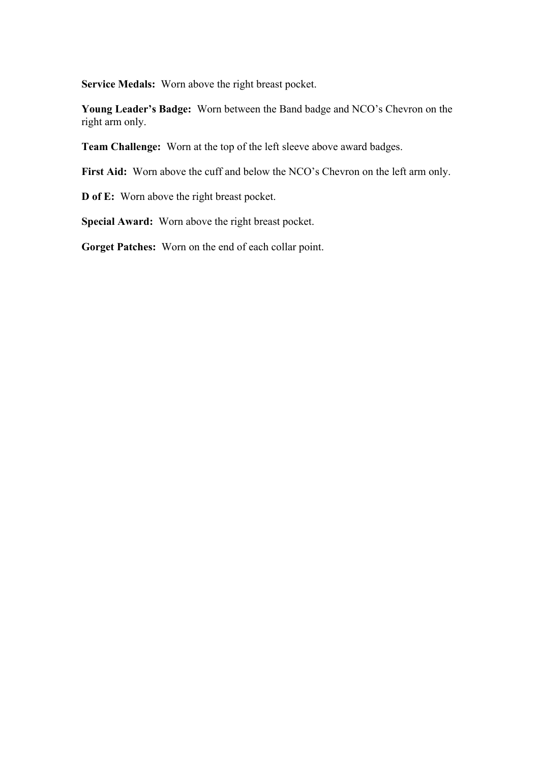**Service Medals:** Worn above the right breast pocket.

**Young Leader's Badge:** Worn between the Band badge and NCO's Chevron on the right arm only.

**Team Challenge:** Worn at the top of the left sleeve above award badges.

First Aid: Worn above the cuff and below the NCO's Chevron on the left arm only.

**D of E:** Worn above the right breast pocket.

**Special Award:** Worn above the right breast pocket.

**Gorget Patches:** Worn on the end of each collar point.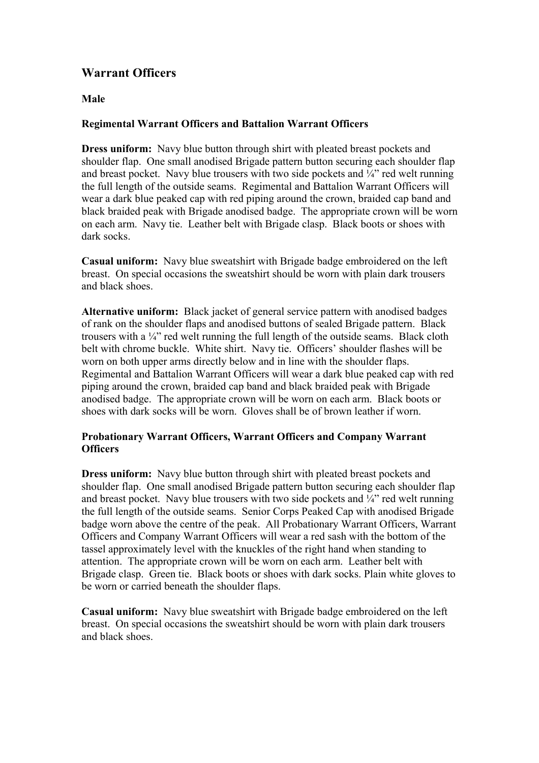## **Warrant Officers**

#### **Male**

#### **Regimental Warrant Officers and Battalion Warrant Officers**

**Dress uniform:** Navy blue button through shirt with pleated breast pockets and shoulder flap. One small anodised Brigade pattern button securing each shoulder flap and breast pocket. Navy blue trousers with two side pockets and  $\frac{1}{4}$  red welt running the full length of the outside seams. Regimental and Battalion Warrant Officers will wear a dark blue peaked cap with red piping around the crown, braided cap band and black braided peak with Brigade anodised badge. The appropriate crown will be worn on each arm. Navy tie. Leather belt with Brigade clasp. Black boots or shoes with dark socks.

**Casual uniform:** Navy blue sweatshirt with Brigade badge embroidered on the left breast. On special occasions the sweatshirt should be worn with plain dark trousers and black shoes.

**Alternative uniform:** Black jacket of general service pattern with anodised badges of rank on the shoulder flaps and anodised buttons of sealed Brigade pattern. Black trousers with a ¼" red welt running the full length of the outside seams. Black cloth belt with chrome buckle. White shirt. Navy tie. Officers' shoulder flashes will be worn on both upper arms directly below and in line with the shoulder flaps. Regimental and Battalion Warrant Officers will wear a dark blue peaked cap with red piping around the crown, braided cap band and black braided peak with Brigade anodised badge. The appropriate crown will be worn on each arm. Black boots or shoes with dark socks will be worn. Gloves shall be of brown leather if worn.

#### **Probationary Warrant Officers, Warrant Officers and Company Warrant Officers**

**Dress uniform:** Navy blue button through shirt with pleated breast pockets and shoulder flap. One small anodised Brigade pattern button securing each shoulder flap and breast pocket. Navy blue trousers with two side pockets and  $\frac{1}{4}$  red welt running the full length of the outside seams. Senior Corps Peaked Cap with anodised Brigade badge worn above the centre of the peak. All Probationary Warrant Officers, Warrant Officers and Company Warrant Officers will wear a red sash with the bottom of the tassel approximately level with the knuckles of the right hand when standing to attention. The appropriate crown will be worn on each arm. Leather belt with Brigade clasp. Green tie. Black boots or shoes with dark socks. Plain white gloves to be worn or carried beneath the shoulder flaps.

**Casual uniform:** Navy blue sweatshirt with Brigade badge embroidered on the left breast. On special occasions the sweatshirt should be worn with plain dark trousers and black shoes.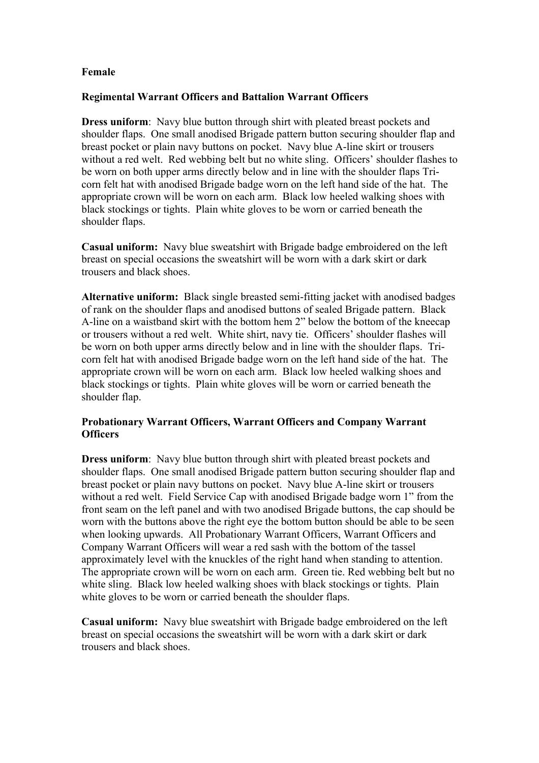#### **Female**

#### **Regimental Warrant Officers and Battalion Warrant Officers**

**Dress uniform**: Navy blue button through shirt with pleated breast pockets and shoulder flaps. One small anodised Brigade pattern button securing shoulder flap and breast pocket or plain navy buttons on pocket. Navy blue A-line skirt or trousers without a red welt. Red webbing belt but no white sling. Officers' shoulder flashes to be worn on both upper arms directly below and in line with the shoulder flaps Tricorn felt hat with anodised Brigade badge worn on the left hand side of the hat. The appropriate crown will be worn on each arm. Black low heeled walking shoes with black stockings or tights. Plain white gloves to be worn or carried beneath the shoulder flaps.

**Casual uniform:** Navy blue sweatshirt with Brigade badge embroidered on the left breast on special occasions the sweatshirt will be worn with a dark skirt or dark trousers and black shoes.

**Alternative uniform:** Black single breasted semi-fitting jacket with anodised badges of rank on the shoulder flaps and anodised buttons of sealed Brigade pattern. Black A-line on a waistband skirt with the bottom hem 2" below the bottom of the kneecap or trousers without a red welt. White shirt, navy tie. Officers' shoulder flashes will be worn on both upper arms directly below and in line with the shoulder flaps. Tricorn felt hat with anodised Brigade badge worn on the left hand side of the hat. The appropriate crown will be worn on each arm. Black low heeled walking shoes and black stockings or tights. Plain white gloves will be worn or carried beneath the shoulder flap.

#### **Probationary Warrant Officers, Warrant Officers and Company Warrant Officers**

**Dress uniform**: Navy blue button through shirt with pleated breast pockets and shoulder flaps. One small anodised Brigade pattern button securing shoulder flap and breast pocket or plain navy buttons on pocket. Navy blue A-line skirt or trousers without a red welt. Field Service Cap with anodised Brigade badge worn 1" from the front seam on the left panel and with two anodised Brigade buttons, the cap should be worn with the buttons above the right eye the bottom button should be able to be seen when looking upwards. All Probationary Warrant Officers, Warrant Officers and Company Warrant Officers will wear a red sash with the bottom of the tassel approximately level with the knuckles of the right hand when standing to attention. The appropriate crown will be worn on each arm. Green tie. Red webbing belt but no white sling. Black low heeled walking shoes with black stockings or tights. Plain white gloves to be worn or carried beneath the shoulder flaps.

**Casual uniform:** Navy blue sweatshirt with Brigade badge embroidered on the left breast on special occasions the sweatshirt will be worn with a dark skirt or dark trousers and black shoes.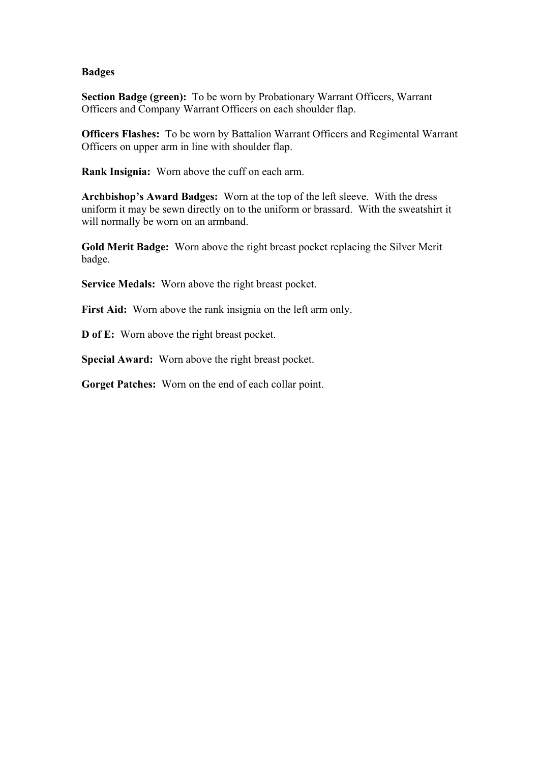#### **Badges**

**Section Badge (green):** To be worn by Probationary Warrant Officers, Warrant Officers and Company Warrant Officers on each shoulder flap.

**Officers Flashes:** To be worn by Battalion Warrant Officers and Regimental Warrant Officers on upper arm in line with shoulder flap.

**Rank Insignia:** Worn above the cuff on each arm.

**Archbishop's Award Badges:** Worn at the top of the left sleeve. With the dress uniform it may be sewn directly on to the uniform or brassard. With the sweatshirt it will normally be worn on an armband.

**Gold Merit Badge:** Worn above the right breast pocket replacing the Silver Merit badge.

**Service Medals:** Worn above the right breast pocket.

First Aid: Worn above the rank insignia on the left arm only.

**D of E:** Worn above the right breast pocket.

**Special Award:** Worn above the right breast pocket.

**Gorget Patches:** Worn on the end of each collar point.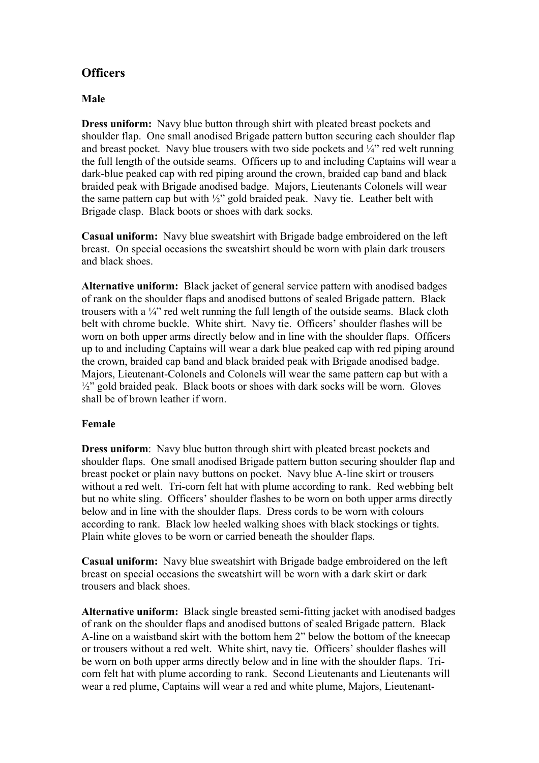## **Officers**

#### **Male**

**Dress uniform:** Navy blue button through shirt with pleated breast pockets and shoulder flap. One small anodised Brigade pattern button securing each shoulder flap and breast pocket. Navy blue trousers with two side pockets and  $\frac{1}{4}$  red welt running the full length of the outside seams. Officers up to and including Captains will wear a dark-blue peaked cap with red piping around the crown, braided cap band and black braided peak with Brigade anodised badge. Majors, Lieutenants Colonels will wear the same pattern cap but with  $\frac{1}{2}$ " gold braided peak. Navy tie. Leather belt with Brigade clasp. Black boots or shoes with dark socks.

**Casual uniform:** Navy blue sweatshirt with Brigade badge embroidered on the left breast. On special occasions the sweatshirt should be worn with plain dark trousers and black shoes.

**Alternative uniform:** Black jacket of general service pattern with anodised badges of rank on the shoulder flaps and anodised buttons of sealed Brigade pattern. Black trousers with a ¼" red welt running the full length of the outside seams. Black cloth belt with chrome buckle. White shirt. Navy tie. Officers' shoulder flashes will be worn on both upper arms directly below and in line with the shoulder flaps. Officers up to and including Captains will wear a dark blue peaked cap with red piping around the crown, braided cap band and black braided peak with Brigade anodised badge. Majors, Lieutenant-Colonels and Colonels will wear the same pattern cap but with a  $\frac{1}{2}$ " gold braided peak. Black boots or shoes with dark socks will be worn. Gloves shall be of brown leather if worn.

#### **Female**

**Dress uniform**: Navy blue button through shirt with pleated breast pockets and shoulder flaps. One small anodised Brigade pattern button securing shoulder flap and breast pocket or plain navy buttons on pocket. Navy blue A-line skirt or trousers without a red welt. Tri-corn felt hat with plume according to rank. Red webbing belt but no white sling. Officers' shoulder flashes to be worn on both upper arms directly below and in line with the shoulder flaps. Dress cords to be worn with colours according to rank. Black low heeled walking shoes with black stockings or tights. Plain white gloves to be worn or carried beneath the shoulder flaps.

**Casual uniform:** Navy blue sweatshirt with Brigade badge embroidered on the left breast on special occasions the sweatshirt will be worn with a dark skirt or dark trousers and black shoes.

**Alternative uniform:** Black single breasted semi-fitting jacket with anodised badges of rank on the shoulder flaps and anodised buttons of sealed Brigade pattern. Black A-line on a waistband skirt with the bottom hem 2" below the bottom of the kneecap or trousers without a red welt. White shirt, navy tie. Officers' shoulder flashes will be worn on both upper arms directly below and in line with the shoulder flaps. Tricorn felt hat with plume according to rank. Second Lieutenants and Lieutenants will wear a red plume, Captains will wear a red and white plume, Majors, Lieutenant-